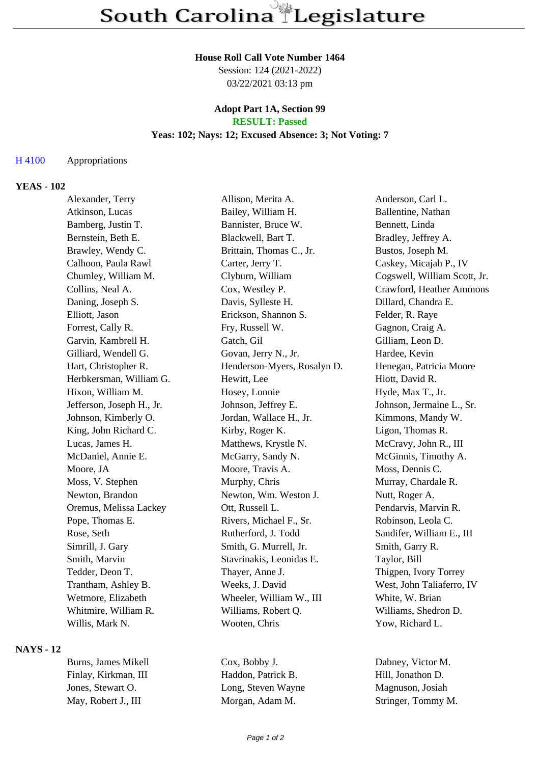#### **House Roll Call Vote Number 1464**

Session: 124 (2021-2022) 03/22/2021 03:13 pm

# **Adopt Part 1A, Section 99**

## **RESULT: Passed**

## **Yeas: 102; Nays: 12; Excused Absence: 3; Not Voting: 7**

#### H 4100 Appropriations

### **YEAS - 102**

| Alexander, Terry          | Allison, Merita A.          | Anderson, Carl L.            |
|---------------------------|-----------------------------|------------------------------|
| Atkinson, Lucas           | Bailey, William H.          | Ballentine, Nathan           |
| Bamberg, Justin T.        | Bannister, Bruce W.         | Bennett, Linda               |
| Bernstein, Beth E.        | Blackwell, Bart T.          | Bradley, Jeffrey A.          |
| Brawley, Wendy C.         | Brittain, Thomas C., Jr.    | Bustos, Joseph M.            |
| Calhoon, Paula Rawl       | Carter, Jerry T.            | Caskey, Micajah P., IV       |
| Chumley, William M.       | Clyburn, William            | Cogswell, William Scott, Jr. |
| Collins, Neal A.          | Cox, Westley P.             | Crawford, Heather Ammons     |
| Daning, Joseph S.         | Davis, Sylleste H.          | Dillard, Chandra E.          |
| Elliott, Jason            | Erickson, Shannon S.        | Felder, R. Raye              |
| Forrest, Cally R.         | Fry, Russell W.             | Gagnon, Craig A.             |
| Garvin, Kambrell H.       | Gatch, Gil                  | Gilliam, Leon D.             |
| Gilliard, Wendell G.      | Govan, Jerry N., Jr.        | Hardee, Kevin                |
| Hart, Christopher R.      | Henderson-Myers, Rosalyn D. | Henegan, Patricia Moore      |
| Herbkersman, William G.   | Hewitt, Lee                 | Hiott, David R.              |
| Hixon, William M.         | Hosey, Lonnie               | Hyde, Max T., Jr.            |
| Jefferson, Joseph H., Jr. | Johnson, Jeffrey E.         | Johnson, Jermaine L., Sr.    |
| Johnson, Kimberly O.      | Jordan, Wallace H., Jr.     | Kimmons, Mandy W.            |
| King, John Richard C.     | Kirby, Roger K.             | Ligon, Thomas R.             |
| Lucas, James H.           | Matthews, Krystle N.        | McCravy, John R., III        |
| McDaniel, Annie E.        | McGarry, Sandy N.           | McGinnis, Timothy A.         |
| Moore, JA                 | Moore, Travis A.            | Moss, Dennis C.              |
| Moss, V. Stephen          | Murphy, Chris               | Murray, Chardale R.          |
| Newton, Brandon           | Newton, Wm. Weston J.       | Nutt, Roger A.               |
| Oremus, Melissa Lackey    | Ott, Russell L.             | Pendarvis, Marvin R.         |
| Pope, Thomas E.           | Rivers, Michael F., Sr.     | Robinson, Leola C.           |
| Rose, Seth                | Rutherford, J. Todd         | Sandifer, William E., III    |
| Simrill, J. Gary          | Smith, G. Murrell, Jr.      | Smith, Garry R.              |
| Smith, Marvin             | Stavrinakis, Leonidas E.    | Taylor, Bill                 |
| Tedder, Deon T.           | Thayer, Anne J.             | Thigpen, Ivory Torrey        |
| Trantham, Ashley B.       | Weeks, J. David             | West, John Taliaferro, IV    |
| Wetmore, Elizabeth        | Wheeler, William W., III    | White, W. Brian              |
| Whitmire, William R.      | Williams, Robert Q.         | Williams, Shedron D.         |
| Willis, Mark N.           | Wooten, Chris               | Yow, Richard L.              |

## **NAYS - 12**

Burns, James Mikell Cox, Bobby J. Dabney, Victor M. Finlay, Kirkman, III Haddon, Patrick B. Hill, Jonathon D. Jones, Stewart O. Long, Steven Wayne Magnuson, Josiah May, Robert J., III Morgan, Adam M. Stringer, Tommy M.